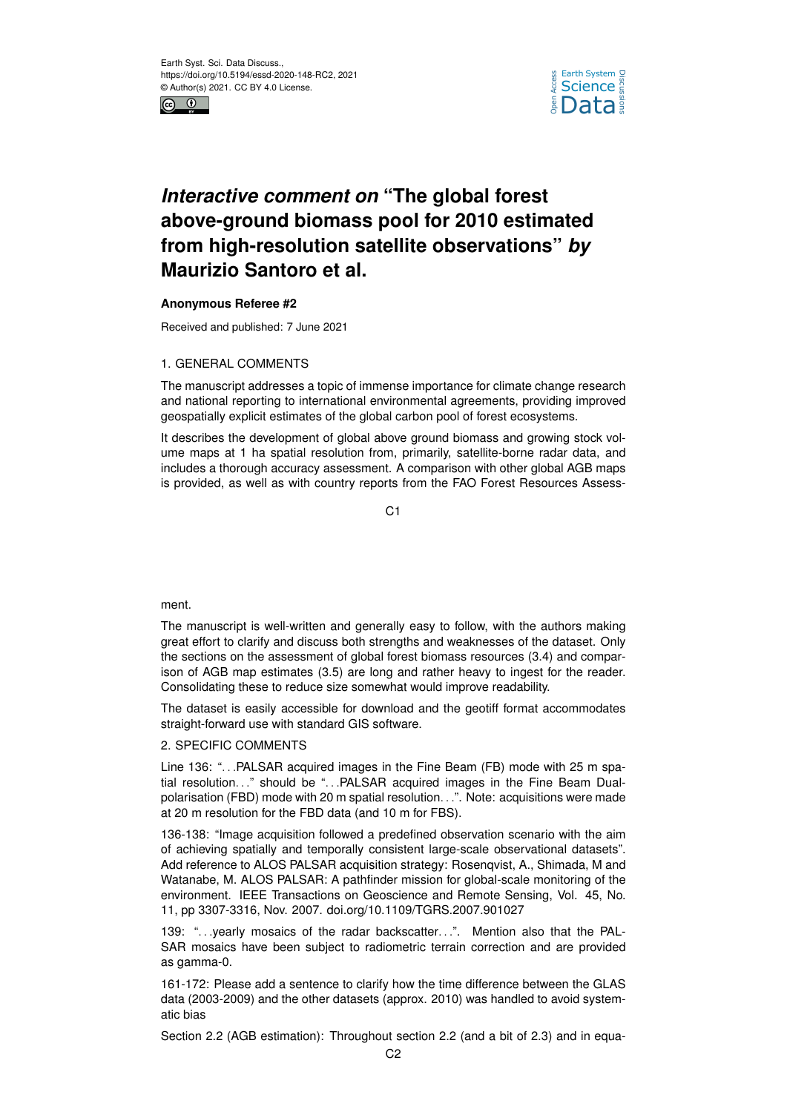



## *Interactive comment on* **"The global forest above-ground biomass pool for 2010 estimated from high-resolution satellite observations"** *by* **Maurizio Santoro et al.**

## **Anonymous Referee #2**

Received and published: 7 June 2021

## 1. GENERAL COMMENTS

The manuscript addresses a topic of immense importance for climate change research and national reporting to international environmental agreements, providing improved geospatially explicit estimates of the global carbon pool of forest ecosystems.

It describes the development of global above ground biomass and growing stock volume maps at 1 ha spatial resolution from, primarily, satellite-borne radar data, and includes a thorough accuracy assessment. A comparison with other global AGB maps is provided, as well as with country reports from the FAO Forest Resources Assess-

 $C<sub>1</sub>$ 

ment.

The manuscript is well-written and generally easy to follow, with the authors making great effort to clarify and discuss both strengths and weaknesses of the dataset. Only the sections on the assessment of global forest biomass resources (3.4) and comparison of AGB map estimates (3.5) are long and rather heavy to ingest for the reader. Consolidating these to reduce size somewhat would improve readability.

The dataset is easily accessible for download and the geotiff format accommodates straight-forward use with standard GIS software.

## 2. SPECIFIC COMMENTS

Line 136: "...PALSAR acquired images in the Fine Beam (FB) mode with 25 m spatial resolution..." should be "...PALSAR acquired images in the Fine Beam Dualpolarisation (FBD) mode with 20 m spatial resolution. . .". Note: acquisitions were made at 20 m resolution for the FBD data (and 10 m for FBS).

136-138: "Image acquisition followed a predefined observation scenario with the aim of achieving spatially and temporally consistent large-scale observational datasets". Add reference to ALOS PALSAR acquisition strategy: Rosenqvist, A., Shimada, M and Watanabe, M. ALOS PALSAR: A pathfinder mission for global-scale monitoring of the environment. IEEE Transactions on Geoscience and Remote Sensing, Vol. 45, No. 11, pp 3307-3316, Nov. 2007. doi.org/10.1109/TGRS.2007.901027

139: "...yearly mosaics of the radar backscatter...". Mention also that the PAL-SAR mosaics have been subject to radiometric terrain correction and are provided as gamma-0.

161-172: Please add a sentence to clarify how the time difference between the GLAS data (2003-2009) and the other datasets (approx. 2010) was handled to avoid systematic bias

Section 2.2 (AGB estimation): Throughout section 2.2 (and a bit of 2.3) and in equa-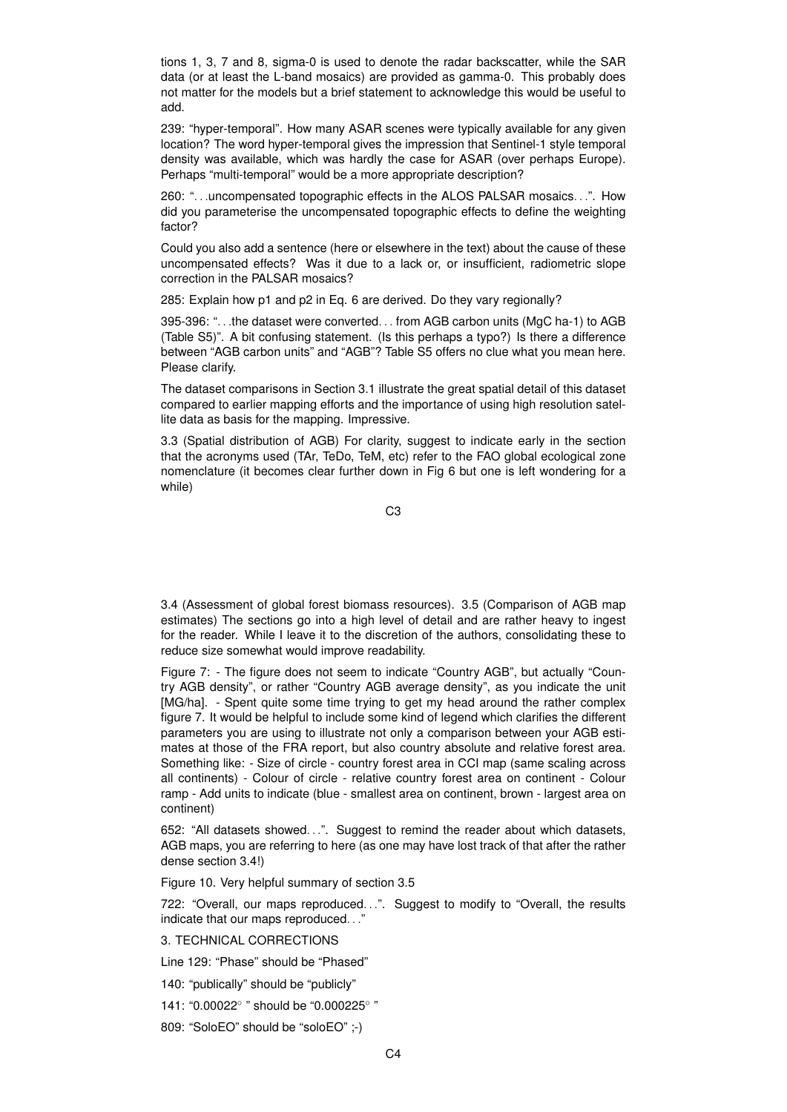tions 1, 3, 7 and 8, sigma-0 is used to denote the radar backscatter, while the SAR data (or at least the L-band mosaics) are provided as gamma-0. This probably does not matter for the models but a brief statement to acknowledge this would be useful to add.

239: "hyper-temporal". How many ASAR scenes were typically available for any given location? The word hyper-temporal gives the impression that Sentinel-1 style temporal density was available, which was hardly the case for ASAR (over perhaps Europe). Perhaps "multi-temporal" would be a more appropriate description?

260: ". . .uncompensated topographic effects in the ALOS PALSAR mosaics. . .". How did you parameterise the uncompensated topographic effects to define the weighting factor?

Could you also add a sentence (here or elsewhere in the text) about the cause of these uncompensated effects? Was it due to a lack or, or insufficient, radiometric slope correction in the PALSAR mosaics?

285: Explain how p1 and p2 in Eq. 6 are derived. Do they vary regionally?

395-396: ". . .the dataset were converted. . . from AGB carbon units (MgC ha-1) to AGB (Table S5)". A bit confusing statement. (Is this perhaps a typo?) Is there a difference between "AGB carbon units" and "AGB"? Table S5 offers no clue what you mean here. Please clarify.

The dataset comparisons in Section 3.1 illustrate the great spatial detail of this dataset compared to earlier mapping efforts and the importance of using high resolution satellite data as basis for the mapping. Impressive.

3.3 (Spatial distribution of AGB) For clarity, suggest to indicate early in the section that the acronyms used (TAr, TeDo, TeM, etc) refer to the FAO global ecological zone nomenclature (it becomes clear further down in Fig 6 but one is left wondering for a while)

C3

3.4 (Assessment of global forest biomass resources). 3.5 (Comparison of AGB map estimates) The sections go into a high level of detail and are rather heavy to ingest for the reader. While I leave it to the discretion of the authors, consolidating these to reduce size somewhat would improve readability.

Figure 7: - The figure does not seem to indicate "Country AGB", but actually "Country AGB density", or rather "Country AGB average density", as you indicate the unit [MG/ha]. - Spent quite some time trying to get my head around the rather complex figure 7. It would be helpful to include some kind of legend which clarifies the different parameters you are using to illustrate not only a comparison between your AGB estimates at those of the FRA report, but also country absolute and relative forest area. Something like: - Size of circle - country forest area in CCI map (same scaling across all continents) - Colour of circle - relative country forest area on continent - Colour ramp - Add units to indicate (blue - smallest area on continent, brown - largest area on continent)

652: "All datasets showed...". Suggest to remind the reader about which datasets, AGB maps, you are referring to here (as one may have lost track of that after the rather dense section 3.4!)

Figure 10. Very helpful summary of section 3.5

722: "Overall, our maps reproduced. . .". Suggest to modify to "Overall, the results indicate that our maps reproduced. . ."

3. TECHNICAL CORRECTIONS

Line 129: "Phase" should be "Phased"

140: "publically" should be "publicly"

141: "0.00022° " should be "0.000225° "

809: "SoloEO" should be "soloEO" ;-)